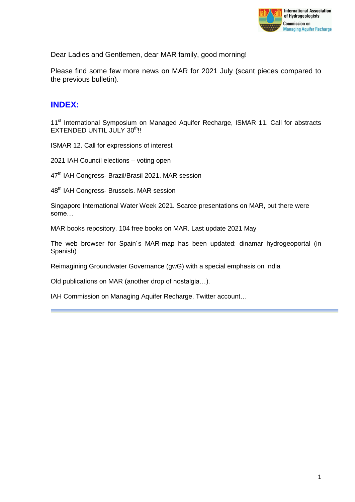

Dear Ladies and Gentlemen, dear MAR family, good morning!

Please find some few more news on MAR for 2021 July (scant pieces compared to the previous bulletin).

## **INDEX:**

11<sup>st</sup> International Symposium on Managed Aquifer Recharge, ISMAR 11. Call for abstracts EXTENDED UNTIL JULY 30<sup>th</sup>!!

ISMAR 12. Call for expressions of interest

2021 IAH Council elections – voting open

47<sup>th</sup> IAH Congress- Brazil/Brasil 2021. MAR session

48<sup>th</sup> IAH Congress- Brussels. MAR session

Singapore International Water Week 2021. Scarce presentations on MAR, but there were some…

MAR books repository. 104 free books on MAR. Last update 2021 May

The web browser for Spain´s MAR-map has been updated: dinamar hydrogeoportal (in Spanish)

Reimagining Groundwater Governance (gwG) with a special emphasis on India

Old publications on MAR (another drop of nostalgia…).

IAH Commission on Managing Aquifer Recharge. Twitter account…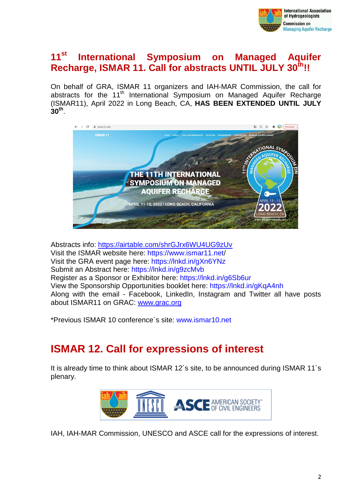

# **11st International Symposium on Managed Aquifer Recharge, ISMAR 11. Call for abstracts UNTIL JULY 30 th!!**

On behalf of GRA, ISMAR 11 organizers and IAH-MAR Commission, the call for abstracts for the 11<sup>th</sup> International Symposium on Managed Aquifer Recharge (ISMAR11), April 2022 in Long Beach, CA, **HAS BEEN EXTENDED UNTIL JULY 30 th** .



Abstracts info:<https://airtable.com/shrGJrx6WU4UG9zUv> Visit the ISMAR website here: <https://www.ismar11.net/> Visit the GRA event page here: <https://lnkd.in/gXn6YNz> Submit an Abstract here: <https://lnkd.in/g9zcMvb> Register as a Sponsor or Exhibitor here: <https://lnkd.in/g6Sb6ur> View the Sponsorship Opportunities booklet here: <https://lnkd.in/gKqA4nh> Along with the email - Facebook, LinkedIn, Instagram and Twitter all have posts about ISMAR11 on GRAC: [www.grac.org](https://urldefense.com/v3/__http:/www.grac.org/__;!!BgLsOpJl!6y-2LtIxPw7Ab-Ec-b66uHAwB9siWqQG6YK9UdAlRqgMeRLrum1wrVWnIkyvCQ8y$)

\*Previous ISMAR 10 conference´s site: [www.ismar10.net](http://www.ismar10.net/)

# **ISMAR 12. Call for expressions of interest**

It is already time to think about ISMAR 12´s site, to be announced during ISMAR 11´s plenary.



IAH, IAH-MAR Commission, UNESCO and ASCE call for the expressions of interest.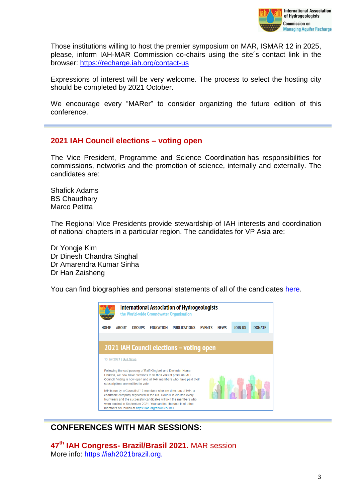

Those institutions willing to host the premier symposium on MAR, ISMAR 12 in 2025, please, inform IAH-MAR Commission co-chairs using the site´s contact link in the browser: <https://recharge.iah.org/contact-us>

Expressions of interest will be very welcome. The process to select the hosting city should be completed by 2021 October.

We encourage every "MARer" to consider organizing the future edition of this conference.

#### **2021 IAH Council elections – voting open**

The Vice President, Programme and Science Coordination has responsibilities for commissions, networks and the promotion of science, internally and externally. The candidates are:

Shafick Adams BS Chaudhary Marco Petitta

The Regional Vice Presidents provide stewardship of IAH interests and coordination of national chapters in a particular region. The candidates for VP Asia are:

Dr Yongje Kim Dr Dinesh Chandra Singhal Dr Amarendra Kumar Sinha Dr Han Zaisheng

You can find biographies and personal statements of all of the candidates [here.](https://iah.org/wp-content/uploads/2021/07/IAHelectioninfo21.pdf)



## **CONFERENCES WITH MAR SESSIONS:**

**47th IAH Congress- Brazil/Brasil 2021.** MAR session More info: [https://iah2021brazil.org.](https://iah2021brazil.org/)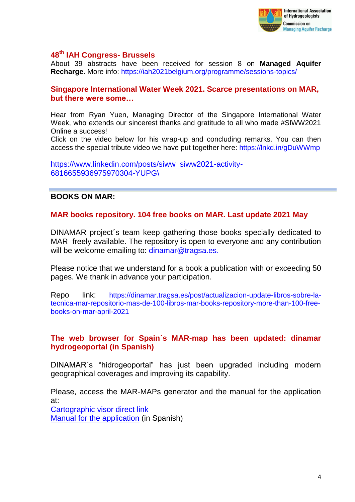

#### **48th IAH Congress- Brussels**

About 39 abstracts have been received for session 8 on **Managed Aquifer Recharge**. More info: <https://iah2021belgium.org/programme/sessions-topics/>

#### **Singapore International Water Week 2021. Scarce presentations on MAR, but there were some…**

Hear from Ryan Yuen, Managing Director of the Singapore International Water Week, who extends our sincerest thanks and gratitude to all who made #SIWW2021 Online a success!

Click on the video below for his wrap-up and concluding remarks. You can then access the special tribute video we have put together here:<https://lnkd.in/gDuWWmp>

[https://www.linkedin.com/posts/siww\\_siww2021-activity-](https://www.linkedin.com/posts/siww_siww2021-activity-6816655936975970304-YUPG/)[6816655936975970304-YUPG\](https://www.linkedin.com/posts/siww_siww2021-activity-6816655936975970304-YUPG/)

#### **BOOKS ON MAR:**

#### **MAR books repository. 104 free books on MAR. Last update 2021 May**

DINAMAR project´s team keep gathering those books specially dedicated to MAR freely available. The repository is open to everyone and any contribution will be welcome emailing to: [dinamar@tragsa.es.](mailto:dinamar@tragsa.es)

Please notice that we understand for a book a publication with or exceeding 50 pages. We thank in advance your participation.

Repo link: https://dinamar.tragsa.es/post/actualizacion-update-libros-sobre-latecnica-mar-repositorio-mas-de-100-libros-mar-books-repository-more-than-100-freebooks-on-mar-april-2021

#### **The web browser for Spain´s MAR-map has been updated: dinamar hydrogeoportal (in Spanish)**

DINAMAR´s "hidrogeoportal" has just been upgraded including modern geographical coverages and improving its capability.

Please, access the MAR-MAPs generator and the manual for the application at:

[Cartographic visor direct link](https://sjc-arcgis.tragsatec.es/portal/apps/webappviewer/index.html?id=d43af99e5b0e4ca8b89a8bc41902545d) [Manual for the application](https://dinamar.tragsa.es/file.axd?file=/PDFS/Visor%20Hidrogeoportal-manual%20de%20usuario.pdf) (in Spanish)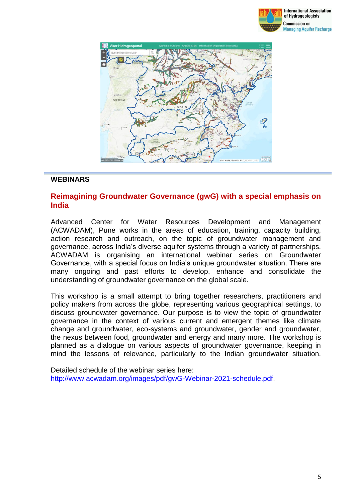



#### **WEBINARS**

#### **Reimagining Groundwater Governance (gwG) with a special emphasis on India**

Advanced Center for Water Resources Development and Management (ACWADAM), Pune works in the areas of education, training, capacity building, action research and outreach, on the topic of groundwater management and governance, across India's diverse aquifer systems through a variety of partnerships. ACWADAM is organising an international webinar series on Groundwater Governance, with a special focus on India's unique groundwater situation. There are many ongoing and past efforts to develop, enhance and consolidate the understanding of groundwater governance on the global scale.

This workshop is a small attempt to bring together researchers, practitioners and policy makers from across the globe, representing various geographical settings, to discuss groundwater governance. Our purpose is to view the topic of groundwater governance in the context of various current and emergent themes like climate change and groundwater, eco-systems and groundwater, gender and groundwater, the nexus between food, groundwater and energy and many more. The workshop is planned as a dialogue on various aspects of groundwater governance, keeping in mind the lessons of relevance, particularly to the Indian groundwater situation.

Detailed schedule of the webinar series here: [http://www.acwadam.org/images/pdf/gwG-Webinar-2021-schedule.pdf.](http://www.acwadam.org/images/pdf/gwG-Webinar-2021-schedule.pdf)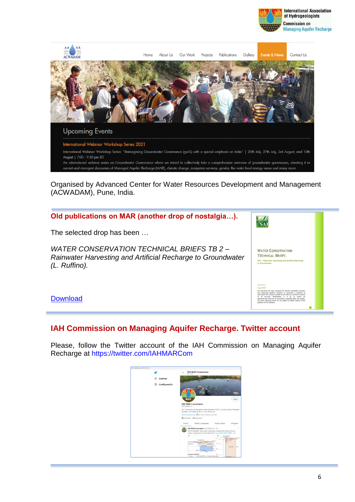



Organised by Advanced Center for Water Resources Development and Management (ACWADAM), Pune, India.



### **IAH Commission on Managing Aquifer Recharge. Twitter account**

Please, follow the Twitter account of the IAH Commission on Managing Aquifer Recharge at <https://twitter.com/IAHMARCom>